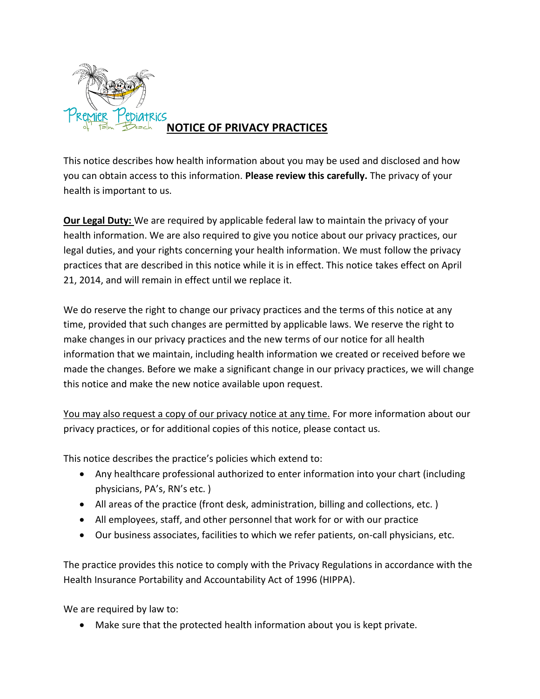

# **NOTICE OF PRIVACY PRACTICES**

This notice describes how health information about you may be used and disclosed and how you can obtain access to this information. **Please review this carefully.** The privacy of your health is important to us.

**Our Legal Duty:** We are required by applicable federal law to maintain the privacy of your health information. We are also required to give you notice about our privacy practices, our legal duties, and your rights concerning your health information. We must follow the privacy practices that are described in this notice while it is in effect. This notice takes effect on April 21, 2014, and will remain in effect until we replace it.

We do reserve the right to change our privacy practices and the terms of this notice at any time, provided that such changes are permitted by applicable laws. We reserve the right to make changes in our privacy practices and the new terms of our notice for all health information that we maintain, including health information we created or received before we made the changes. Before we make a significant change in our privacy practices, we will change this notice and make the new notice available upon request.

You may also request a copy of our privacy notice at any time. For more information about our privacy practices, or for additional copies of this notice, please contact us.

This notice describes the practice's policies which extend to:

- Any healthcare professional authorized to enter information into your chart (including physicians, PA's, RN's etc. )
- All areas of the practice (front desk, administration, billing and collections, etc. )
- All employees, staff, and other personnel that work for or with our practice
- Our business associates, facilities to which we refer patients, on-call physicians, etc.

The practice provides this notice to comply with the Privacy Regulations in accordance with the Health Insurance Portability and Accountability Act of 1996 (HIPPA).

We are required by law to:

Make sure that the protected health information about you is kept private.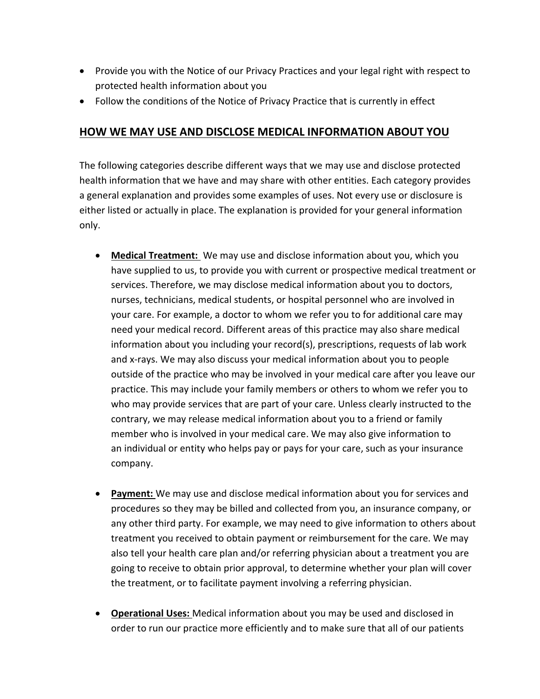- Provide you with the Notice of our Privacy Practices and your legal right with respect to protected health information about you
- Follow the conditions of the Notice of Privacy Practice that is currently in effect

#### **HOW WE MAY USE AND DISCLOSE MEDICAL INFORMATION ABOUT YOU**

The following categories describe different ways that we may use and disclose protected health information that we have and may share with other entities. Each category provides a general explanation and provides some examples of uses. Not every use or disclosure is either listed or actually in place. The explanation is provided for your general information only.

- **Medical Treatment:** We may use and disclose information about you, which you have supplied to us, to provide you with current or prospective medical treatment or services. Therefore, we may disclose medical information about you to doctors, nurses, technicians, medical students, or hospital personnel who are involved in your care. For example, a doctor to whom we refer you to for additional care may need your medical record. Different areas of this practice may also share medical information about you including your record(s), prescriptions, requests of lab work and x-rays. We may also discuss your medical information about you to people outside of the practice who may be involved in your medical care after you leave our practice. This may include your family members or others to whom we refer you to who may provide services that are part of your care. Unless clearly instructed to the contrary, we may release medical information about you to a friend or family member who is involved in your medical care. We may also give information to an individual or entity who helps pay or pays for your care, such as your insurance company.
- **Payment:** We may use and disclose medical information about you for services and procedures so they may be billed and collected from you, an insurance company, or any other third party. For example, we may need to give information to others about treatment you received to obtain payment or reimbursement for the care. We may also tell your health care plan and/or referring physician about a treatment you are going to receive to obtain prior approval, to determine whether your plan will cover the treatment, or to facilitate payment involving a referring physician.
- **Operational Uses:** Medical information about you may be used and disclosed in order to run our practice more efficiently and to make sure that all of our patients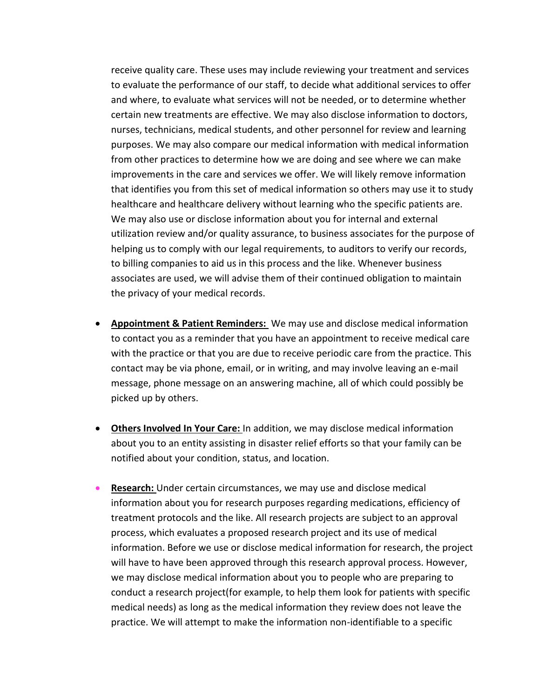receive quality care. These uses may include reviewing your treatment and services to evaluate the performance of our staff, to decide what additional services to offer and where, to evaluate what services will not be needed, or to determine whether certain new treatments are effective. We may also disclose information to doctors, nurses, technicians, medical students, and other personnel for review and learning purposes. We may also compare our medical information with medical information from other practices to determine how we are doing and see where we can make improvements in the care and services we offer. We will likely remove information that identifies you from this set of medical information so others may use it to study healthcare and healthcare delivery without learning who the specific patients are. We may also use or disclose information about you for internal and external utilization review and/or quality assurance, to business associates for the purpose of helping us to comply with our legal requirements, to auditors to verify our records, to billing companies to aid us in this process and the like. Whenever business associates are used, we will advise them of their continued obligation to maintain the privacy of your medical records.

- **Appointment & Patient Reminders:** We may use and disclose medical information to contact you as a reminder that you have an appointment to receive medical care with the practice or that you are due to receive periodic care from the practice. This contact may be via phone, email, or in writing, and may involve leaving an e-mail message, phone message on an answering machine, all of which could possibly be picked up by others.
- **Others Involved In Your Care:** In addition, we may disclose medical information about you to an entity assisting in disaster relief efforts so that your family can be notified about your condition, status, and location.
- **Research:** Under certain circumstances, we may use and disclose medical information about you for research purposes regarding medications, efficiency of treatment protocols and the like. All research projects are subject to an approval process, which evaluates a proposed research project and its use of medical information. Before we use or disclose medical information for research, the project will have to have been approved through this research approval process. However, we may disclose medical information about you to people who are preparing to conduct a research project(for example, to help them look for patients with specific medical needs) as long as the medical information they review does not leave the practice. We will attempt to make the information non-identifiable to a specific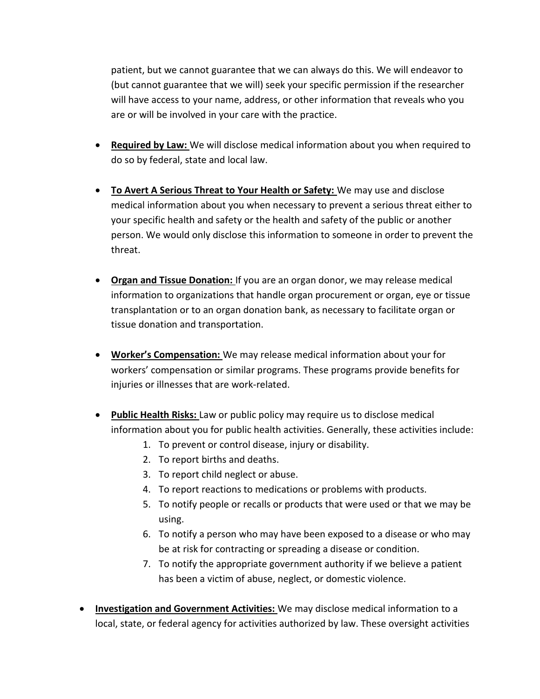patient, but we cannot guarantee that we can always do this. We will endeavor to (but cannot guarantee that we will) seek your specific permission if the researcher will have access to your name, address, or other information that reveals who you are or will be involved in your care with the practice.

- **Required by Law:** We will disclose medical information about you when required to do so by federal, state and local law.
- **To Avert A Serious Threat to Your Health or Safety:** We may use and disclose medical information about you when necessary to prevent a serious threat either to your specific health and safety or the health and safety of the public or another person. We would only disclose this information to someone in order to prevent the threat.
- **Organ and Tissue Donation:** If you are an organ donor, we may release medical information to organizations that handle organ procurement or organ, eye or tissue transplantation or to an organ donation bank, as necessary to facilitate organ or tissue donation and transportation.
- **Worker's Compensation:** We may release medical information about your for workers' compensation or similar programs. These programs provide benefits for injuries or illnesses that are work-related.
- **Public Health Risks:** Law or public policy may require us to disclose medical information about you for public health activities. Generally, these activities include:
	- 1. To prevent or control disease, injury or disability.
	- 2. To report births and deaths.
	- 3. To report child neglect or abuse.
	- 4. To report reactions to medications or problems with products.
	- 5. To notify people or recalls or products that were used or that we may be using.
	- 6. To notify a person who may have been exposed to a disease or who may be at risk for contracting or spreading a disease or condition.
	- 7. To notify the appropriate government authority if we believe a patient has been a victim of abuse, neglect, or domestic violence.
- **Investigation and Government Activities:** We may disclose medical information to a local, state, or federal agency for activities authorized by law. These oversight activities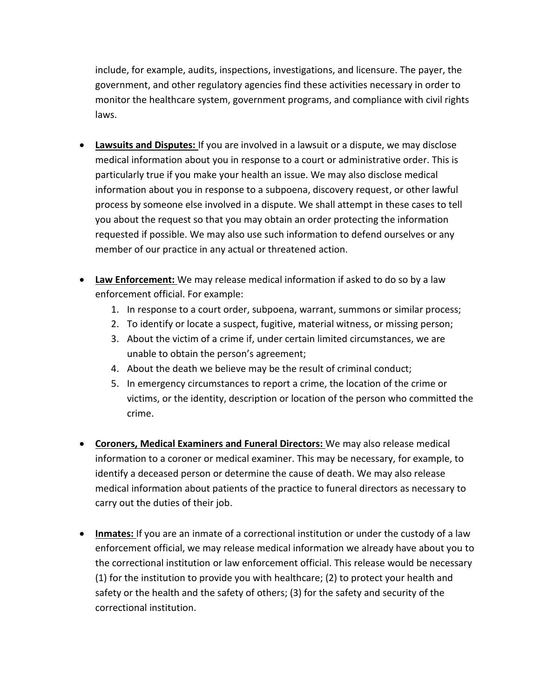include, for example, audits, inspections, investigations, and licensure. The payer, the government, and other regulatory agencies find these activities necessary in order to monitor the healthcare system, government programs, and compliance with civil rights laws.

- **Lawsuits and Disputes:** If you are involved in a lawsuit or a dispute, we may disclose medical information about you in response to a court or administrative order. This is particularly true if you make your health an issue. We may also disclose medical information about you in response to a subpoena, discovery request, or other lawful process by someone else involved in a dispute. We shall attempt in these cases to tell you about the request so that you may obtain an order protecting the information requested if possible. We may also use such information to defend ourselves or any member of our practice in any actual or threatened action.
- **Law Enforcement:** We may release medical information if asked to do so by a law enforcement official. For example:
	- 1. In response to a court order, subpoena, warrant, summons or similar process;
	- 2. To identify or locate a suspect, fugitive, material witness, or missing person;
	- 3. About the victim of a crime if, under certain limited circumstances, we are unable to obtain the person's agreement;
	- 4. About the death we believe may be the result of criminal conduct;
	- 5. In emergency circumstances to report a crime, the location of the crime or victims, or the identity, description or location of the person who committed the crime.
- **Coroners, Medical Examiners and Funeral Directors:** We may also release medical information to a coroner or medical examiner. This may be necessary, for example, to identify a deceased person or determine the cause of death. We may also release medical information about patients of the practice to funeral directors as necessary to carry out the duties of their job.
- **Inmates:** If you are an inmate of a correctional institution or under the custody of a law enforcement official, we may release medical information we already have about you to the correctional institution or law enforcement official. This release would be necessary (1) for the institution to provide you with healthcare; (2) to protect your health and safety or the health and the safety of others; (3) for the safety and security of the correctional institution.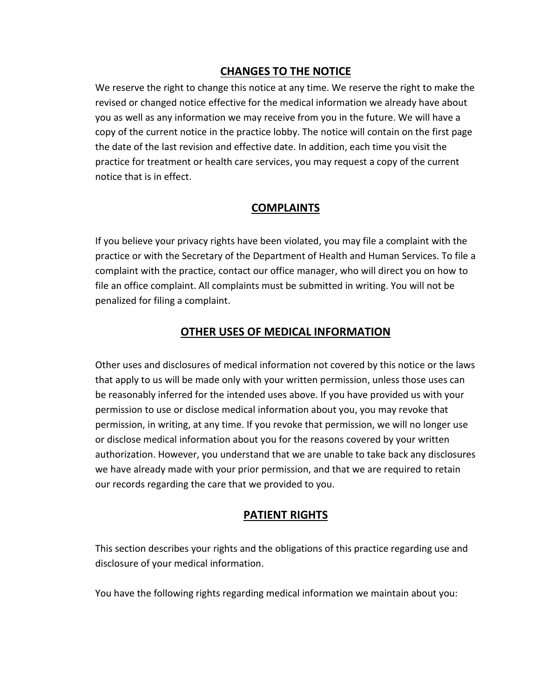## **CHANGES TO THE NOTICE**

We reserve the right to change this notice at any time. We reserve the right to make the revised or changed notice effective for the medical information we already have about you as well as any information we may receive from you in the future. We will have a copy of the current notice in the practice lobby. The notice will contain on the first page the date of the last revision and effective date. In addition, each time you visit the practice for treatment or health care services, you may request a copy of the current notice that is in effect.

### **COMPLAINTS**

If you believe your privacy rights have been violated, you may file a complaint with the practice or with the Secretary of the Department of Health and Human Services. To file a complaint with the practice, contact our office manager, who will direct you on how to file an office complaint. All complaints must be submitted in writing. You will not be penalized for filing a complaint.

### **OTHER USES OF MEDICAL INFORMATION**

Other uses and disclosures of medical information not covered by this notice or the laws that apply to us will be made only with your written permission, unless those uses can be reasonably inferred for the intended uses above. If you have provided us with your permission to use or disclose medical information about you, you may revoke that permission, in writing, at any time. If you revoke that permission, we will no longer use or disclose medical information about you for the reasons covered by your written authorization. However, you understand that we are unable to take back any disclosures we have already made with your prior permission, and that we are required to retain our records regarding the care that we provided to you.

### **PATIENT RIGHTS**

This section describes your rights and the obligations of this practice regarding use and disclosure of your medical information.

You have the following rights regarding medical information we maintain about you: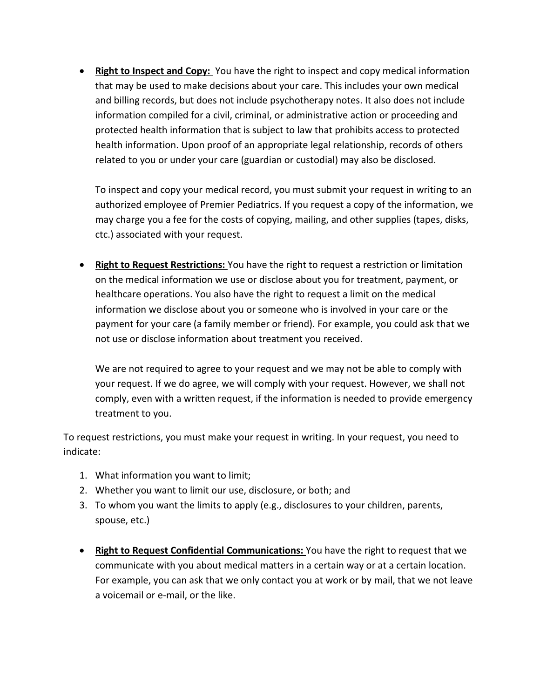**• Right to Inspect and Copy:** You have the right to inspect and copy medical information that may be used to make decisions about your care. This includes your own medical and billing records, but does not include psychotherapy notes. It also does not include information compiled for a civil, criminal, or administrative action or proceeding and protected health information that is subject to law that prohibits access to protected health information. Upon proof of an appropriate legal relationship, records of others related to you or under your care (guardian or custodial) may also be disclosed.

To inspect and copy your medical record, you must submit your request in writing to an authorized employee of Premier Pediatrics. If you request a copy of the information, we may charge you a fee for the costs of copying, mailing, and other supplies (tapes, disks, ctc.) associated with your request.

 **Right to Request Restrictions:** You have the right to request a restriction or limitation on the medical information we use or disclose about you for treatment, payment, or healthcare operations. You also have the right to request a limit on the medical information we disclose about you or someone who is involved in your care or the payment for your care (a family member or friend). For example, you could ask that we not use or disclose information about treatment you received.

We are not required to agree to your request and we may not be able to comply with your request. If we do agree, we will comply with your request. However, we shall not comply, even with a written request, if the information is needed to provide emergency treatment to you.

To request restrictions, you must make your request in writing. In your request, you need to indicate:

- 1. What information you want to limit;
- 2. Whether you want to limit our use, disclosure, or both; and
- 3. To whom you want the limits to apply (e.g., disclosures to your children, parents, spouse, etc.)
- **Right to Request Confidential Communications:** You have the right to request that we communicate with you about medical matters in a certain way or at a certain location. For example, you can ask that we only contact you at work or by mail, that we not leave a voicemail or e-mail, or the like.